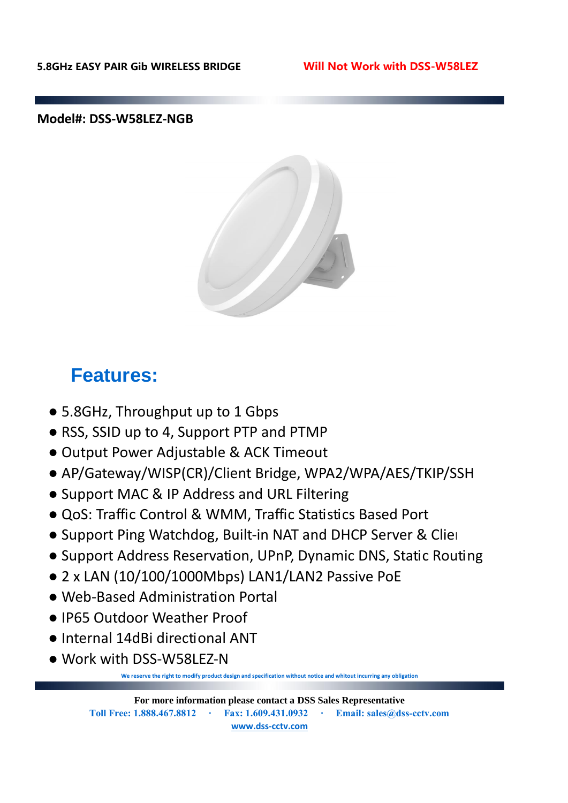**Model#: DSS-W58LEZ-NGB**



## **Features:**

- 5.8GHz, Throughput up to 1 Gbps
- RSS, SSID up to 4, Support PTP and PTMP
- Output Power Adjustable & ACK Timeout
- AP/Gateway/WISP(CR)/Client Bridge, WPA2/WPA/AES/TKIP/SSH
- Support MAC & IP Address and URL Filtering
- QoS: Traffic Control & WMM, Traffic Statistics Based Port
- Support Ping Watchdog, Built-in NAT and DHCP Server & Client
- Support Address Reservation, UPnP, Dynamic DNS, Static Routing
- 2 x LAN (10/100/1000Mbps) LAN1/LAN2 Passive PoE
- Web-Based Administration Portal
- IP65 Outdoor Weather Proof
- Internal 14dBi directional ANT
- Work with DSS-W58LEZ-N

**We reserve the right to modify product design and specification without notice and whitout incurring any obligation**

**For more information please contact a DSS Sales Representative Toll Free: 1.888.467.8812 ∙ Fax: 1.609.431.0932 ∙ Email: sales@dss-cctv.com www.dss-cctv.com**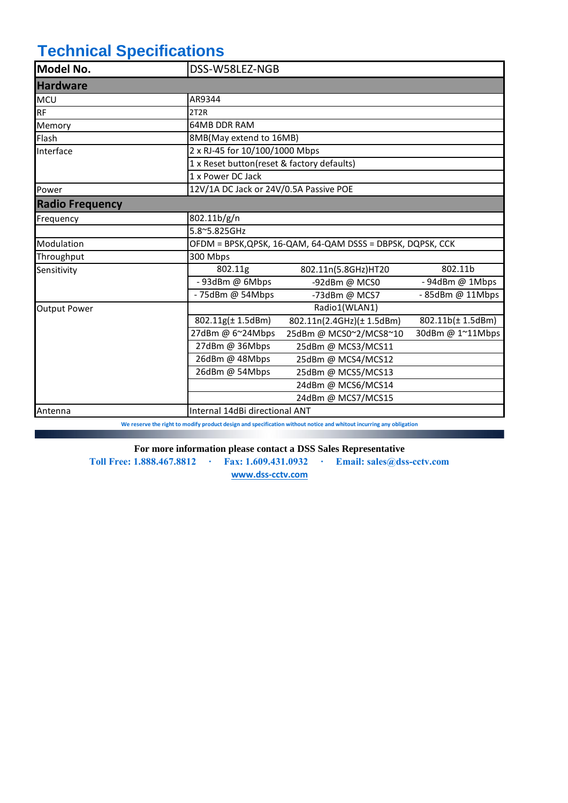## **Technical Specifications**

| Model No.              | DSS-W58LEZ-NGB                                             |                           |                   |
|------------------------|------------------------------------------------------------|---------------------------|-------------------|
| <b>Hardware</b>        |                                                            |                           |                   |
| <b>MCU</b>             | AR9344                                                     |                           |                   |
| <b>RF</b>              | 2T2R                                                       |                           |                   |
| Memory                 | <b>64MB DDR RAM</b>                                        |                           |                   |
| Flash                  | 8MB(May extend to 16MB)                                    |                           |                   |
| Interface              | 2 x RJ-45 for 10/100/1000 Mbps                             |                           |                   |
|                        | 1 x Reset button(reset & factory defaults)                 |                           |                   |
|                        | 1 x Power DC Jack                                          |                           |                   |
| Power                  | 12V/1A DC Jack or 24V/0.5A Passive POE                     |                           |                   |
| <b>Radio Frequency</b> |                                                            |                           |                   |
| Frequency              | 802.11b/g/n                                                |                           |                   |
|                        | 5.8~5.825GHz                                               |                           |                   |
| Modulation             | OFDM = BPSK, QPSK, 16-QAM, 64-QAM DSSS = DBPSK, DQPSK, CCK |                           |                   |
| Throughput             | 300 Mbps                                                   |                           |                   |
| Sensitivity            | 802.11g                                                    | 802.11n(5.8GHz)HT20       | 802.11b           |
|                        | $-93$ dBm @ 6Mbps                                          | -92dBm @ MCS0             | - 94dBm @ 1Mbps   |
|                        | - 75dBm @ 54Mbps                                           | -73dBm @ MCS7             | - 85dBm @ 11Mbps  |
| <b>Output Power</b>    |                                                            | Radio1(WLAN1)             |                   |
|                        | 802.11g(± 1.5dBm)                                          | 802.11n(2.4GHz)(± 1.5dBm) | 802.11b(± 1.5dBm) |
|                        | 27dBm @ 6~24Mbps                                           | 25dBm @ MCS0~2/MCS8~10    | 30dBm @ 1~11Mbps  |
|                        | 27dBm @ 36Mbps                                             | 25dBm @ MCS3/MCS11        |                   |
|                        | 26dBm @ 48Mbps                                             | 25dBm @ MCS4/MCS12        |                   |
|                        | 26dBm @ 54Mbps                                             | 25dBm @ MCS5/MCS13        |                   |
|                        |                                                            | 24dBm @ MCS6/MCS14        |                   |
|                        |                                                            | 24dBm @ MCS7/MCS15        |                   |
| Antenna                | Internal 14dBi directional ANT                             |                           |                   |

**We reserve the right to modify product design and specification without notice and whitout incurring any obligation**

**For more information please contact a DSS Sales Representative**

**Toll Free: 1.888.467.8812 ∙ Fax: 1.609.431.0932 ∙ Email: sales@dss-cctv.com www.dss-cctv.com**